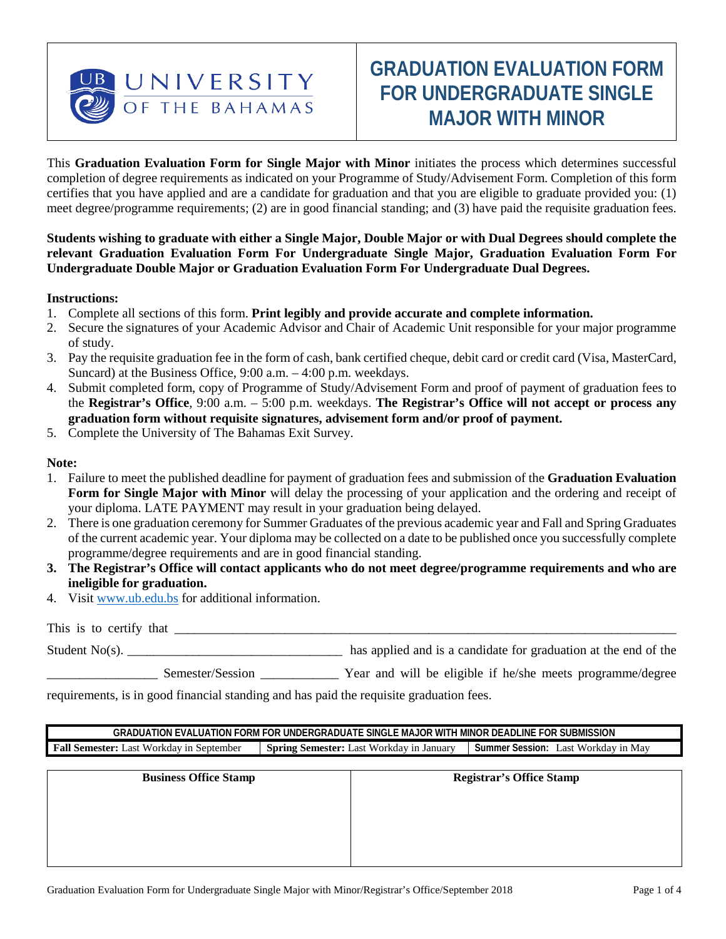

# **GRADUATION EVALUATION FORM FOR UNDERGRADUATE SINGLE MAJOR WITH MINOR**

This **Graduation Evaluation Form for Single Major with Minor** initiates the process which determines successful completion of degree requirements as indicated on your Programme of Study/Advisement Form. Completion of this form certifies that you have applied and are a candidate for graduation and that you are eligible to graduate provided you: (1) meet degree/programme requirements; (2) are in good financial standing; and (3) have paid the requisite graduation fees.

**Students wishing to graduate with either a Single Major, Double Major or with Dual Degrees should complete the relevant Graduation Evaluation Form For Undergraduate Single Major, Graduation Evaluation Form For Undergraduate Double Major or Graduation Evaluation Form For Undergraduate Dual Degrees.** 

#### **Instructions:**

- 1. Complete all sections of this form. **Print legibly and provide accurate and complete information.**
- 2. Secure the signatures of your Academic Advisor and Chair of Academic Unit responsible for your major programme of study.
- 3. Pay the requisite graduation fee in the form of cash, bank certified cheque, debit card or credit card (Visa, MasterCard, Suncard) at the Business Office, 9:00 a.m. – 4:00 p.m. weekdays.
- 4. Submit completed form, copy of Programme of Study/Advisement Form and proof of payment of graduation fees to the **Registrar's Office**, 9:00 a.m. – 5:00 p.m. weekdays. **The Registrar's Office will not accept or process any graduation form without requisite signatures, advisement form and/or proof of payment.**
- 5. Complete the University of The Bahamas Exit Survey.

#### **Note:**

- 1. Failure to meet the published deadline for payment of graduation fees and submission of the **Graduation Evaluation Form for Single Major with Minor** will delay the processing of your application and the ordering and receipt of your diploma. LATE PAYMENT may result in your graduation being delayed.
- 2. There is one graduation ceremony for Summer Graduates of the previous academic year and Fall and Spring Graduates of the current academic year. Your diploma may be collected on a date to be published once you successfully complete programme/degree requirements and are in good financial standing.
- **3. The Registrar's Office will contact applicants who do not meet degree/programme requirements and who are ineligible for graduation.**
- 4. Visit [www.ub.edu.bs](http://www.ub.edu.bs/) for additional information.

This is to certify that Student No(s). Thus supplied and is a candidate for graduation at the end of the student No(s).

Semester/Session \_\_\_\_\_\_\_\_\_\_ Year and will be eligible if he/she meets programme/degree

requirements, is in good financial standing and has paid the requisite graduation fees.

**GRADUATION EVALUATION FORM FOR UNDERGRADUATE SINGLE MAJOR WITH MINOR DEADLINE FOR SUBMISSION Fall Semester:** Last Workday in September **Spring Semester:** Last Workday in January Summer Session: Last Workday in May

| <b>Business Office Stamp</b> | <b>Registrar's Office Stamp</b> |  |  |
|------------------------------|---------------------------------|--|--|
|                              |                                 |  |  |
|                              |                                 |  |  |
|                              |                                 |  |  |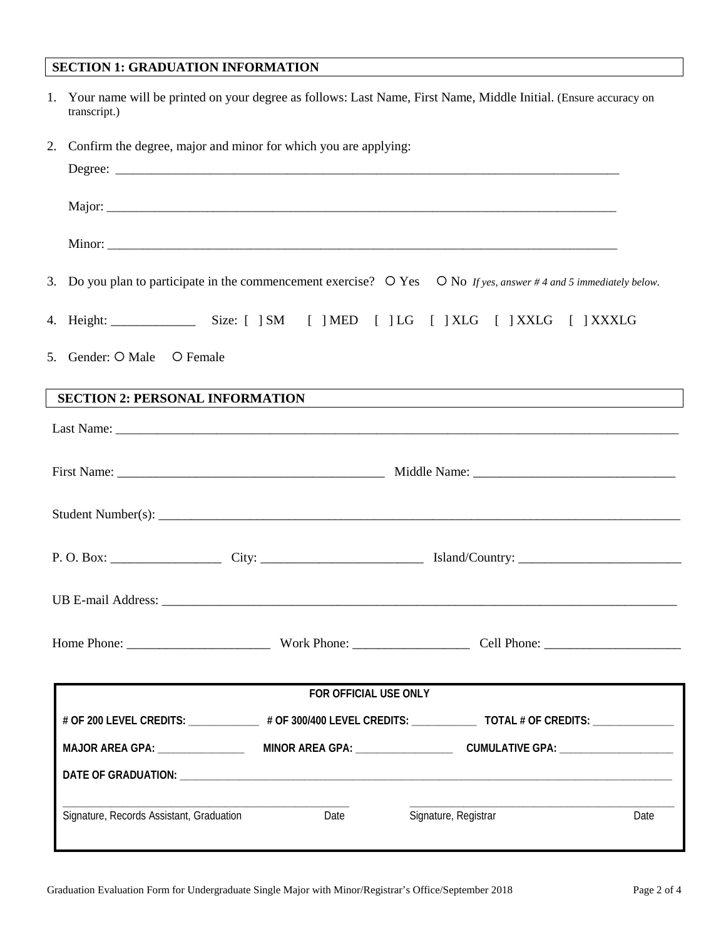## **SECTION 1: GRADUATION INFORMATION**

| 1. Your name will be printed on your degree as follows: Last Name, First Name, Middle Initial. (Ensure accuracy on |
|--------------------------------------------------------------------------------------------------------------------|
| transcript.)                                                                                                       |

| 2.                                       | Confirm the degree, major and minor for which you are applying: |                                                                                                                               |      |
|------------------------------------------|-----------------------------------------------------------------|-------------------------------------------------------------------------------------------------------------------------------|------|
|                                          |                                                                 |                                                                                                                               |      |
|                                          |                                                                 |                                                                                                                               |      |
|                                          |                                                                 |                                                                                                                               |      |
|                                          |                                                                 | 3. Do you plan to participate in the commencement exercise? $\circ$ Yes $\circ$ No If yes, answer #4 and 5 immediately below. |      |
|                                          |                                                                 |                                                                                                                               |      |
| 5. Gender: O Male O Female               |                                                                 |                                                                                                                               |      |
| <b>SECTION 2: PERSONAL INFORMATION</b>   |                                                                 |                                                                                                                               |      |
|                                          |                                                                 |                                                                                                                               |      |
|                                          |                                                                 |                                                                                                                               |      |
|                                          |                                                                 |                                                                                                                               |      |
|                                          |                                                                 |                                                                                                                               |      |
|                                          |                                                                 |                                                                                                                               |      |
|                                          |                                                                 |                                                                                                                               |      |
|                                          | FOR OFFICIAL USE ONLY                                           |                                                                                                                               |      |
|                                          |                                                                 |                                                                                                                               |      |
| MAJOR AREA GPA: ________________         |                                                                 |                                                                                                                               |      |
|                                          |                                                                 |                                                                                                                               |      |
| Signature, Records Assistant, Graduation | Date                                                            | Signature, Registrar                                                                                                          | Date |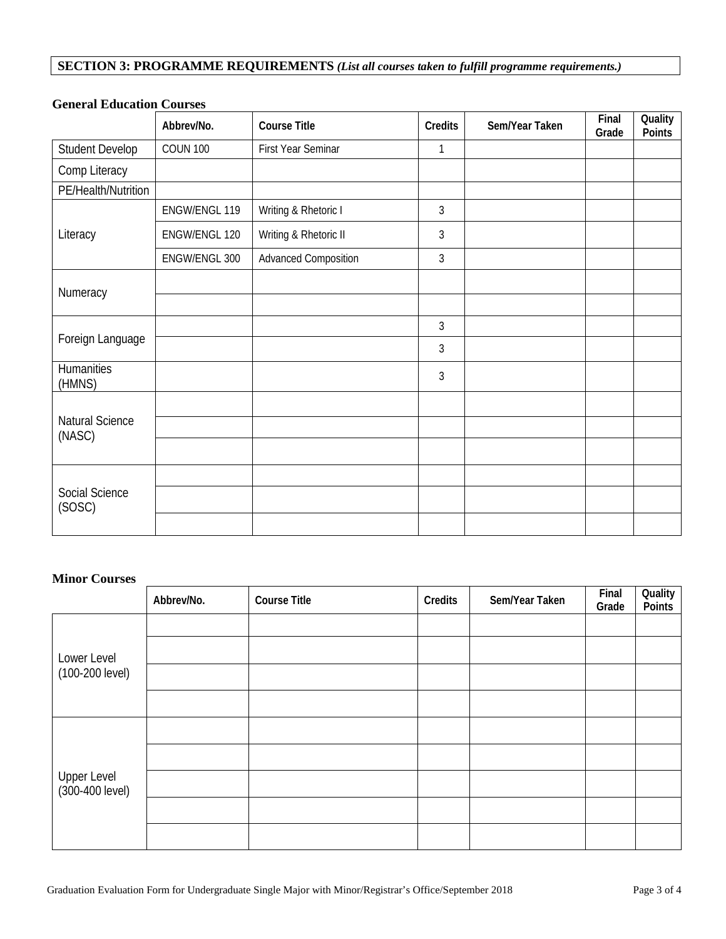## **SECTION 3: PROGRAMME REQUIREMENTS** *(List all courses taken to fulfill programme requirements.)*

|                           | Abbrev/No.      | <b>Course Title</b>         | <b>Credits</b> | Sem/Year Taken | Final<br>Grade | Quality<br>Points |
|---------------------------|-----------------|-----------------------------|----------------|----------------|----------------|-------------------|
| <b>Student Develop</b>    | <b>COUN 100</b> | First Year Seminar          | 1              |                |                |                   |
| Comp Literacy             |                 |                             |                |                |                |                   |
| PE/Health/Nutrition       |                 |                             |                |                |                |                   |
|                           | ENGW/ENGL 119   | Writing & Rhetoric I        | 3              |                |                |                   |
| Literacy                  | ENGW/ENGL 120   | Writing & Rhetoric II       | $\mathfrak{Z}$ |                |                |                   |
|                           | ENGW/ENGL 300   | <b>Advanced Composition</b> | $\mathfrak{Z}$ |                |                |                   |
| Numeracy                  |                 |                             |                |                |                |                   |
|                           |                 |                             |                |                |                |                   |
|                           |                 |                             | $\mathfrak{Z}$ |                |                |                   |
| Foreign Language          |                 |                             | $\mathfrak{Z}$ |                |                |                   |
| Humanities<br>(HMNS)      |                 |                             | 3              |                |                |                   |
|                           |                 |                             |                |                |                |                   |
| Natural Science<br>(NASC) |                 |                             |                |                |                |                   |
|                           |                 |                             |                |                |                |                   |
|                           |                 |                             |                |                |                |                   |
| Social Science<br>(SOSC)  |                 |                             |                |                |                |                   |
|                           |                 |                             |                |                |                |                   |

## **General Education Courses**

### **Minor Courses**

|                                | Abbrev/No. | <b>Course Title</b> | Credits | Sem/Year Taken | Final<br>Grade | Quality<br>Points |
|--------------------------------|------------|---------------------|---------|----------------|----------------|-------------------|
|                                |            |                     |         |                |                |                   |
| Lower Level                    |            |                     |         |                |                |                   |
| (100-200 level)                |            |                     |         |                |                |                   |
|                                |            |                     |         |                |                |                   |
|                                |            |                     |         |                |                |                   |
|                                |            |                     |         |                |                |                   |
| Upper Level<br>(300-400 level) |            |                     |         |                |                |                   |
|                                |            |                     |         |                |                |                   |
|                                |            |                     |         |                |                |                   |